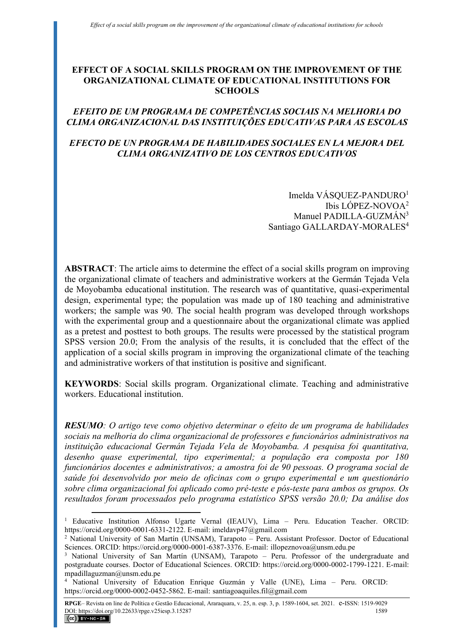# **EFFECT OF A SOCIAL SKILLS PROGRAM ON THE IMPROVEMENT OF THE ORGANIZATIONAL CLIMATE OF EDUCATIONAL INSTITUTIONS FOR SCHOOLS**

# *EFEITO DE UM PROGRAMA DE COMPETÊNCIAS SOCIAIS NA MELHORIA DO CLIMA ORGANIZACIONAL DAS INSTITUIÇÕES EDUCATIVAS PARA AS ESCOLAS*

# *EFECTO DE UN PROGRAMA DE HABILIDADES SOCIALES EN LA MEJORA DEL CLIMA ORGANIZATIVO DE LOS CENTROS EDUCATIVOS*

Imelda VÁSOUEZ-PANDURO<sup>1</sup> Ibis LÓPEZ-NOVOA<sup>2</sup> Manuel PADILLA-GUZMÁN<sup>3</sup> Santiago GALLARDAY-MORALES<sup>4</sup>

**ABSTRACT**: The article aims to determine the effect of a social skills program on improving the organizational climate of teachers and administrative workers at the Germán Tejada Vela de Moyobamba educational institution. The research was of quantitative, quasi-experimental design, experimental type; the population was made up of 180 teaching and administrative workers; the sample was 90. The social health program was developed through workshops with the experimental group and a questionnaire about the organizational climate was applied as a pretest and posttest to both groups. The results were processed by the statistical program SPSS version 20.0; From the analysis of the results, it is concluded that the effect of the application of a social skills program in improving the organizational climate of the teaching and administrative workers of that institution is positive and significant.

**KEYWORDS**: Social skills program. Organizational climate. Teaching and administrative workers. Educational institution.

*RESUMO: O artigo teve como objetivo determinar o efeito de um programa de habilidades sociais na melhoria do clima organizacional de professores e funcionários administrativos na instituição educacional Germán Tejada Vela de Moyobamba. A pesquisa foi quantitativa, desenho quase experimental, tipo experimental; a população era composta por 180 funcionários docentes e administrativos; a amostra foi de 90 pessoas. O programa social de saúde foi desenvolvido por meio de oficinas com o grupo experimental e um questionário sobre clima organizacional foi aplicado como pré-teste e pós-teste para ambos os grupos. Os resultados foram processados pelo programa estatístico SPSS versão 20.0; Da análise dos* 

<sup>&</sup>lt;sup>1</sup> Educative Institution Alfonso Ugarte Vernal (IEAUV), Lima - Peru. Education Teacher. ORCID: https://orcid.org/0000-0001-6331-2122. E-mail: imeldavp47@gmail.com

<sup>&</sup>lt;sup>2</sup> National University of San Martín (UNSAM), Tarapoto - Peru. Assistant Professor. Doctor of Educational Sciences. ORCID: https://orcid.org/0000-0001-6387-3376. E-mail: illopeznovoa@unsm.edu.pe

<sup>&</sup>lt;sup>3</sup> National University of San Martín (UNSAM), Tarapoto – Peru. Professor of the undergraduate and postgraduate courses. Doctor of Educational Sciences. ORCID: https://orcid.org/0000-0002-1799-1221. E-mail: mpadillaguzman@unsm.edu.pe

<sup>4</sup> National University of Education Enrique Guzmán y Valle (UNE), Lima – Peru. ORCID: https://orcid.org/0000-0002-0452-5862. E-mail: santiagoaquiles.fil@gmail.com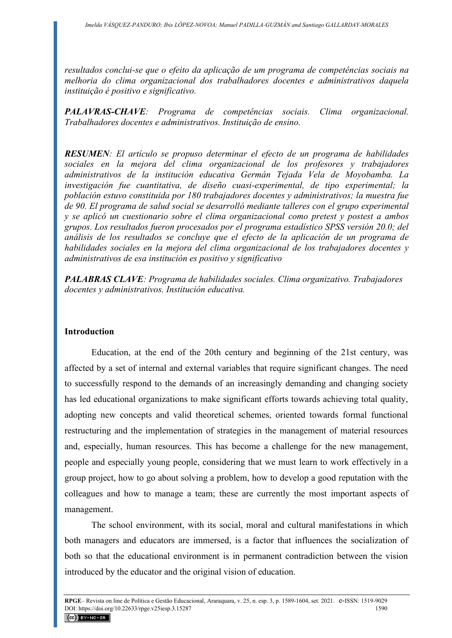*resultados conclui-se que o efeito da aplicação de um programa de competências sociais na melhoria do clima organizacional dos trabalhadores docentes e administrativos daquela instituição é positivo e significativo.* 

*PALAVRAS-CHAVE: Programa de competências sociais. Clima organizacional. Trabalhadores docentes e administrativos. Instituição de ensino.* 

*RESUMEN: El artículo se propuso determinar el efecto de un programa de habilidades sociales en la mejora del clima organizacional de los profesores y trabajadores administrativos de la institución educativa Germán Tejada Vela de Moyobamba. La investigación fue cuantitativa, de diseño cuasi-experimental, de tipo experimental; la población estuvo constituida por 180 trabajadores docentes y administrativos; la muestra fue de 90. El programa de salud social se desarrolló mediante talleres con el grupo experimental y se aplicó un cuestionario sobre el clima organizacional como pretest y postest a ambos grupos. Los resultados fueron procesados por el programa estadístico SPSS versión 20.0; del análisis de los resultados se concluye que el efecto de la aplicación de un programa de habilidades sociales en la mejora del clima organizacional de los trabajadores docentes y administrativos de esa institución es positivo y significativo* 

*PALABRAS CLAVE: Programa de habilidades sociales. Clima organizativo. Trabajadores docentes y administrativos. Institución educativa.* 

# **Introduction**

Education, at the end of the 20th century and beginning of the 21st century, was affected by a set of internal and external variables that require significant changes. The need to successfully respond to the demands of an increasingly demanding and changing society has led educational organizations to make significant efforts towards achieving total quality, adopting new concepts and valid theoretical schemes, oriented towards formal functional restructuring and the implementation of strategies in the management of material resources and, especially, human resources. This has become a challenge for the new management, people and especially young people, considering that we must learn to work effectively in a group project, how to go about solving a problem, how to develop a good reputation with the colleagues and how to manage a team; these are currently the most important aspects of management.

The school environment, with its social, moral and cultural manifestations in which both managers and educators are immersed, is a factor that influences the socialization of both so that the educational environment is in permanent contradiction between the vision introduced by the educator and the original vision of education.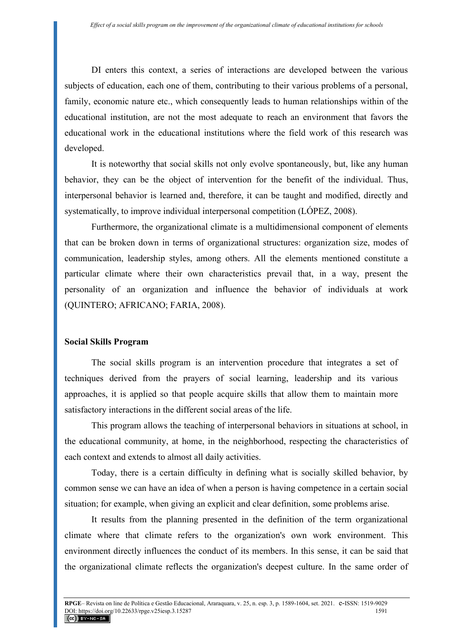DI enters this context, a series of interactions are developed between the various subjects of education, each one of them, contributing to their various problems of a personal, family, economic nature etc., which consequently leads to human relationships within of the educational institution, are not the most adequate to reach an environment that favors the educational work in the educational institutions where the field work of this research was developed.

It is noteworthy that social skills not only evolve spontaneously, but, like any human behavior, they can be the object of intervention for the benefit of the individual. Thus, interpersonal behavior is learned and, therefore, it can be taught and modified, directly and systematically, to improve individual interpersonal competition (LÓPEZ, 2008).

Furthermore, the organizational climate is a multidimensional component of elements that can be broken down in terms of organizational structures: organization size, modes of communication, leadership styles, among others. All the elements mentioned constitute a particular climate where their own characteristics prevail that, in a way, present the personality of an organization and influence the behavior of individuals at work (QUINTERO; AFRICANO; FARIA, 2008).

# **Social Skills Program**

The social skills program is an intervention procedure that integrates a set of techniques derived from the prayers of social learning, leadership and its various approaches, it is applied so that people acquire skills that allow them to maintain more satisfactory interactions in the different social areas of the life.

This program allows the teaching of interpersonal behaviors in situations at school, in the educational community, at home, in the neighborhood, respecting the characteristics of each context and extends to almost all daily activities.

Today, there is a certain difficulty in defining what is socially skilled behavior, by common sense we can have an idea of when a person is having competence in a certain social situation; for example, when giving an explicit and clear definition, some problems arise.

It results from the planning presented in the definition of the term organizational climate where that climate refers to the organization's own work environment. This environment directly influences the conduct of its members. In this sense, it can be said that the organizational climate reflects the organization's deepest culture. In the same order of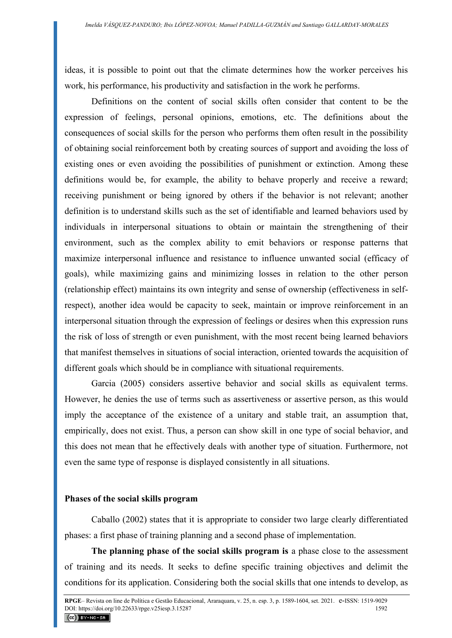ideas, it is possible to point out that the climate determines how the worker perceives his work, his performance, his productivity and satisfaction in the work he performs.

Definitions on the content of social skills often consider that content to be the expression of feelings, personal opinions, emotions, etc. The definitions about the consequences of social skills for the person who performs them often result in the possibility of obtaining social reinforcement both by creating sources of support and avoiding the loss of existing ones or even avoiding the possibilities of punishment or extinction. Among these definitions would be, for example, the ability to behave properly and receive a reward; receiving punishment or being ignored by others if the behavior is not relevant; another definition is to understand skills such as the set of identifiable and learned behaviors used by individuals in interpersonal situations to obtain or maintain the strengthening of their environment, such as the complex ability to emit behaviors or response patterns that maximize interpersonal influence and resistance to influence unwanted social (efficacy of goals), while maximizing gains and minimizing losses in relation to the other person (relationship effect) maintains its own integrity and sense of ownership (effectiveness in selfrespect), another idea would be capacity to seek, maintain or improve reinforcement in an interpersonal situation through the expression of feelings or desires when this expression runs the risk of loss of strength or even punishment, with the most recent being learned behaviors that manifest themselves in situations of social interaction, oriented towards the acquisition of different goals which should be in compliance with situational requirements.

Garcia (2005) considers assertive behavior and social skills as equivalent terms. However, he denies the use of terms such as assertiveness or assertive person, as this would imply the acceptance of the existence of a unitary and stable trait, an assumption that, empirically, does not exist. Thus, a person can show skill in one type of social behavior, and this does not mean that he effectively deals with another type of situation. Furthermore, not even the same type of response is displayed consistently in all situations.

#### **Phases of the social skills program**

Caballo (2002) states that it is appropriate to consider two large clearly differentiated phases: a first phase of training planning and a second phase of implementation.

**The planning phase of the social skills program is** a phase close to the assessment of training and its needs. It seeks to define specific training objectives and delimit the conditions for its application. Considering both the social skills that one intends to develop, as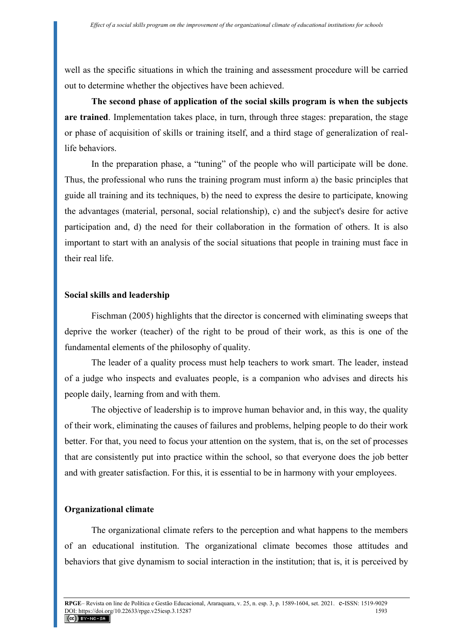well as the specific situations in which the training and assessment procedure will be carried out to determine whether the objectives have been achieved.

**The second phase of application of the social skills program is when the subjects are trained**. Implementation takes place, in turn, through three stages: preparation, the stage or phase of acquisition of skills or training itself, and a third stage of generalization of reallife behaviors.

In the preparation phase, a "tuning" of the people who will participate will be done. Thus, the professional who runs the training program must inform a) the basic principles that guide all training and its techniques, b) the need to express the desire to participate, knowing the advantages (material, personal, social relationship), c) and the subject's desire for active participation and, d) the need for their collaboration in the formation of others. It is also important to start with an analysis of the social situations that people in training must face in their real life.

# **Social skills and leadership**

Fischman (2005) highlights that the director is concerned with eliminating sweeps that deprive the worker (teacher) of the right to be proud of their work, as this is one of the fundamental elements of the philosophy of quality.

The leader of a quality process must help teachers to work smart. The leader, instead of a judge who inspects and evaluates people, is a companion who advises and directs his people daily, learning from and with them.

The objective of leadership is to improve human behavior and, in this way, the quality of their work, eliminating the causes of failures and problems, helping people to do their work better. For that, you need to focus your attention on the system, that is, on the set of processes that are consistently put into practice within the school, so that everyone does the job better and with greater satisfaction. For this, it is essential to be in harmony with your employees.

# **Organizational climate**

The organizational climate refers to the perception and what happens to the members of an educational institution. The organizational climate becomes those attitudes and behaviors that give dynamism to social interaction in the institution; that is, it is perceived by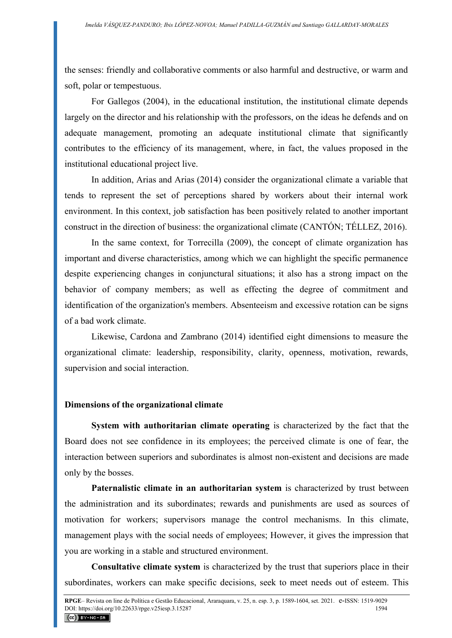the senses: friendly and collaborative comments or also harmful and destructive, or warm and soft, polar or tempestuous.

For Gallegos (2004), in the educational institution, the institutional climate depends largely on the director and his relationship with the professors, on the ideas he defends and on adequate management, promoting an adequate institutional climate that significantly contributes to the efficiency of its management, where, in fact, the values proposed in the institutional educational project live.

In addition, Arias and Arias (2014) consider the organizational climate a variable that tends to represent the set of perceptions shared by workers about their internal work environment. In this context, job satisfaction has been positively related to another important construct in the direction of business: the organizational climate (CANTÓN; TÉLLEZ, 2016).

In the same context, for Torrecilla (2009), the concept of climate organization has important and diverse characteristics, among which we can highlight the specific permanence despite experiencing changes in conjunctural situations; it also has a strong impact on the behavior of company members; as well as effecting the degree of commitment and identification of the organization's members. Absenteeism and excessive rotation can be signs of a bad work climate.

Likewise, Cardona and Zambrano (2014) identified eight dimensions to measure the organizational climate: leadership, responsibility, clarity, openness, motivation, rewards, supervision and social interaction.

#### **Dimensions of the organizational climate**

**System with authoritarian climate operating** is characterized by the fact that the Board does not see confidence in its employees; the perceived climate is one of fear, the interaction between superiors and subordinates is almost non-existent and decisions are made only by the bosses.

**Paternalistic climate in an authoritarian system** is characterized by trust between the administration and its subordinates; rewards and punishments are used as sources of motivation for workers; supervisors manage the control mechanisms. In this climate, management plays with the social needs of employees; However, it gives the impression that you are working in a stable and structured environment.

**Consultative climate system** is characterized by the trust that superiors place in their subordinates, workers can make specific decisions, seek to meet needs out of esteem. This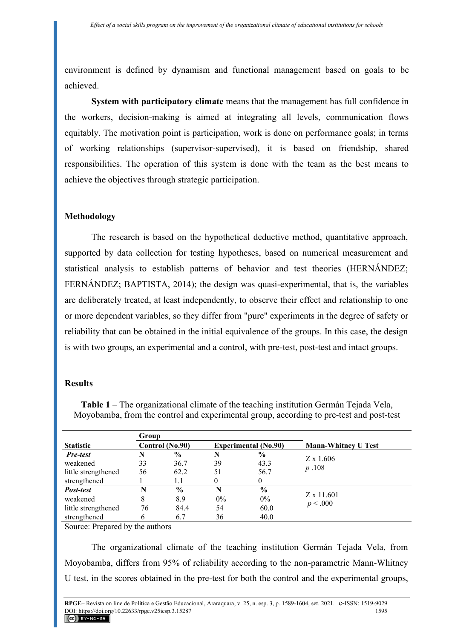environment is defined by dynamism and functional management based on goals to be achieved.

**System with participatory climate** means that the management has full confidence in the workers, decision-making is aimed at integrating all levels, communication flows equitably. The motivation point is participation, work is done on performance goals; in terms of working relationships (supervisor-supervised), it is based on friendship, shared responsibilities. The operation of this system is done with the team as the best means to achieve the objectives through strategic participation.

# **Methodology**

The research is based on the hypothetical deductive method, quantitative approach, supported by data collection for testing hypotheses, based on numerical measurement and statistical analysis to establish patterns of behavior and test theories (HERNÁNDEZ; FERNÁNDEZ; BAPTISTA, 2014); the design was quasi-experimental, that is, the variables are deliberately treated, at least independently, to observe their effect and relationship to one or more dependent variables, so they differ from "pure" experiments in the degree of safety or reliability that can be obtained in the initial equivalence of the groups. In this case, the design is with two groups, an experimental and a control, with pre-test, post-test and intact groups.

# **Results**

**Table 1** – The organizational climate of the teaching institution Germán Tejada Vela, Moyobamba, from the control and experimental group, according to pre-test and post-test

|                     | Group           |               |                             |               |                            |
|---------------------|-----------------|---------------|-----------------------------|---------------|----------------------------|
| <b>Statistic</b>    | Control (No.90) |               | <b>Experimental (No.90)</b> |               | <b>Mann-Whitney U Test</b> |
| <b>Pre-test</b>     | N               | $\frac{6}{6}$ | N                           | $\frac{6}{9}$ |                            |
| weakened            | 33              | 36.7          | 39                          | 43.3          | $Z \times 1.606$           |
| little strengthened | 56              | 62.2          | 51                          | 56.7          | p.108                      |
| strengthened        |                 | 1.1           |                             | 0             |                            |
| Post-test           | N               | $\frac{0}{0}$ | N                           | $\frac{6}{9}$ |                            |
| weakened            | 8               | 8.9           | $0\%$                       | $0\%$         | Z x 11.601                 |
| little strengthened | 76              | 84.4          | 54                          | 60.0          | p < .000                   |
| strengthened        | 6               | 6.7           | 36                          | 40.0          |                            |

Source: Prepared by the authors

The organizational climate of the teaching institution Germán Tejada Vela, from Moyobamba, differs from 95% of reliability according to the non-parametric Mann-Whitney U test, in the scores obtained in the pre-test for both the control and the experimental groups,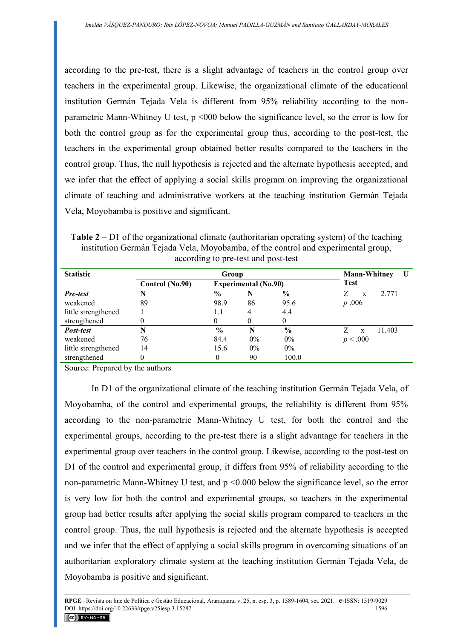according to the pre-test, there is a slight advantage of teachers in the control group over teachers in the experimental group. Likewise, the organizational climate of the educational institution Germán Tejada Vela is different from 95% reliability according to the nonparametric Mann-Whitney U test, p <000 below the significance level, so the error is low for both the control group as for the experimental group thus, according to the post-test, the teachers in the experimental group obtained better results compared to the teachers in the control group. Thus, the null hypothesis is rejected and the alternate hypothesis accepted, and we infer that the effect of applying a social skills program on improving the organizational climate of teaching and administrative workers at the teaching institution Germán Tejada Vela, Moyobamba is positive and significant.

**Table 2** – D1 of the organizational climate (authoritarian operating system) of the teaching institution Germán Tejada Vela, Moyobamba, of the control and experimental group, according to pre-test and post-test

| <b>Statistic</b>    |                 | <b>Mann-Whitney</b><br>U    |                |               |              |
|---------------------|-----------------|-----------------------------|----------------|---------------|--------------|
|                     | Control (No.90) | <b>Experimental (No.90)</b> |                |               | <b>Test</b>  |
| <b>Pre-test</b>     |                 | $\frac{0}{0}$               | N              | $\frac{0}{0}$ | 2 7 7 1<br>X |
| weakened            | 89              | 98.9                        | 86             | 95.6          | p.006        |
| little strengthened |                 | 1.1                         | $\overline{4}$ | 4.4           |              |
| strengthened        |                 |                             | 0              |               |              |
| Post-test           | N               | $\frac{6}{6}$               | N              | $\frac{6}{9}$ | 11.403<br>X  |
| weakened            | 76              | 84.4                        | $0\%$          | $0\%$         | p < .000     |
| little strengthened | 14              | 15.6                        | 0%             | $0\%$         |              |
| strengthened        |                 | 0                           | 90             | 100.0         |              |

Source: Prepared by the authors

In D1 of the organizational climate of the teaching institution Germán Tejada Vela, of Moyobamba, of the control and experimental groups, the reliability is different from 95% according to the non-parametric Mann-Whitney U test, for both the control and the experimental groups, according to the pre-test there is a slight advantage for teachers in the experimental group over teachers in the control group. Likewise, according to the post-test on D1 of the control and experimental group, it differs from 95% of reliability according to the non-parametric Mann-Whitney U test, and p <0.000 below the significance level, so the error is very low for both the control and experimental groups, so teachers in the experimental group had better results after applying the social skills program compared to teachers in the control group. Thus, the null hypothesis is rejected and the alternate hypothesis is accepted and we infer that the effect of applying a social skills program in overcoming situations of an authoritarian exploratory climate system at the teaching institution Germán Tejada Vela, de Moyobamba is positive and significant.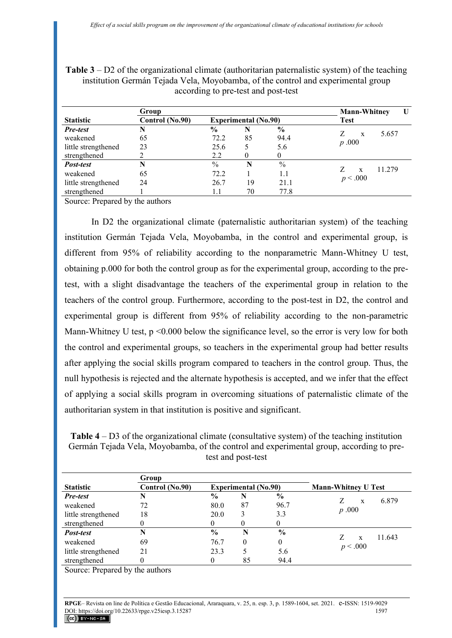**Table 3** – D2 of the organizational climate (authoritarian paternalistic system) of the teaching institution Germán Tejada Vela, Moyobamba, of the control and experimental group according to pre-test and post-test

|                     | Group           | <b>Mann-Whitney</b><br>U    |    |               |                        |
|---------------------|-----------------|-----------------------------|----|---------------|------------------------|
| <b>Statistic</b>    | Control (No.90) | <b>Experimental</b> (No.90) |    |               | Test                   |
| <b>Pre-test</b>     |                 | $\frac{6}{6}$               | N  | $\frac{6}{6}$ | 5.657                  |
| weakened            | 65              | 72.2                        | 85 | 94.4          | X                      |
| little strengthened | 23              | 25.6                        |    | 5.6           | p.000                  |
| strengthened        |                 | 2.2                         |    | 0             |                        |
| Post-test           | N               | $\%$                        | N  | $\%$          |                        |
| weakened            | 65              | 72.2                        |    | 1.1           | 11.279<br>$\mathbf{x}$ |
| little strengthened | 24              | 26.7                        | 19 | 21.1          | p < .000               |
| strengthened        |                 | 1.1                         | 70 | 77.8          |                        |

Source: Prepared by the authors

In D2 the organizational climate (paternalistic authoritarian system) of the teaching institution Germán Tejada Vela, Moyobamba, in the control and experimental group, is different from 95% of reliability according to the nonparametric Mann-Whitney U test, obtaining p.000 for both the control group as for the experimental group, according to the pretest, with a slight disadvantage the teachers of the experimental group in relation to the teachers of the control group. Furthermore, according to the post-test in D2, the control and experimental group is different from 95% of reliability according to the non-parametric Mann-Whitney U test,  $p \le 0.000$  below the significance level, so the error is very low for both the control and experimental groups, so teachers in the experimental group had better results after applying the social skills program compared to teachers in the control group. Thus, the null hypothesis is rejected and the alternate hypothesis is accepted, and we infer that the effect of applying a social skills program in overcoming situations of paternalistic climate of the authoritarian system in that institution is positive and significant.

| <b>Table 4</b> – D3 of the organizational climate (consultative system) of the teaching institution |
|-----------------------------------------------------------------------------------------------------|
| Germán Tejada Vela, Moyobamba, of the control and experimental group, according to pre-             |
| test and post-test                                                                                  |

|                     | Group           |               |                             |               |                            |
|---------------------|-----------------|---------------|-----------------------------|---------------|----------------------------|
| <b>Statistic</b>    | Control (No.90) |               | <b>Experimental (No.90)</b> |               | <b>Mann-Whitney U Test</b> |
| <b>Pre-test</b>     |                 | $\frac{6}{6}$ | N                           | $\frac{6}{9}$ |                            |
| weakened            | 72              | 80.0          | 87                          | 96.7          | 6.879<br>X                 |
| little strengthened | 18              | 20.0          | 3                           | 3.3           | p.000                      |
| strengthened        |                 | 0             | 0                           | 0             |                            |
| Post-test           |                 | $\frac{6}{9}$ | N                           | $\frac{0}{0}$ |                            |
| weakened            | 69              | 76.7          | 0                           | 0             | 11.643<br>X                |
| little strengthened | 21              | 23.3          |                             | 5.6           | p < .000                   |
| strengthened        |                 | 0             | 85                          | 94.4          |                            |

Source: Prepared by the authors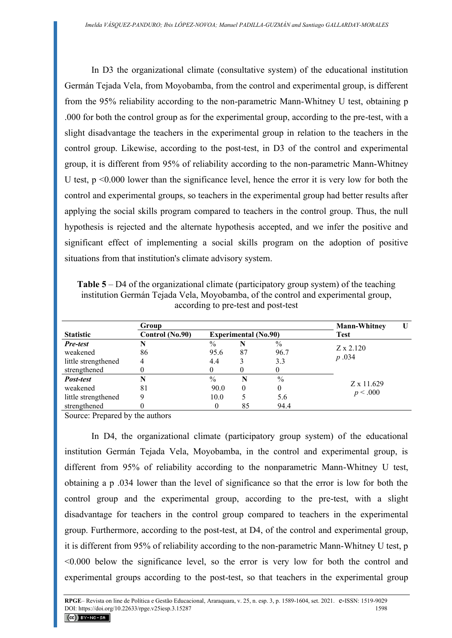In D3 the organizational climate (consultative system) of the educational institution Germán Tejada Vela, from Moyobamba, from the control and experimental group, is different from the 95% reliability according to the non-parametric Mann-Whitney U test, obtaining p .000 for both the control group as for the experimental group, according to the pre-test, with a slight disadvantage the teachers in the experimental group in relation to the teachers in the control group. Likewise, according to the post-test, in D3 of the control and experimental group, it is different from 95% of reliability according to the non-parametric Mann-Whitney U test, p <0.000 lower than the significance level, hence the error it is very low for both the control and experimental groups, so teachers in the experimental group had better results after applying the social skills program compared to teachers in the control group. Thus, the null hypothesis is rejected and the alternate hypothesis accepted, and we infer the positive and significant effect of implementing a social skills program on the adoption of positive situations from that institution's climate advisory system.

**Table 5** – D4 of the organizational climate (participatory group system) of the teaching institution Germán Tejada Vela, Moyobamba, of the control and experimental group, according to pre-test and post-test

|                     | Group           | <b>Mann-Whitney</b> |                             |          |                           |  |
|---------------------|-----------------|---------------------|-----------------------------|----------|---------------------------|--|
| <b>Statistic</b>    | Control (No.90) |                     | <b>Experimental (No.90)</b> |          | Test                      |  |
| <b>Pre-test</b>     |                 | $\%$                | N                           | $\%$     |                           |  |
| weakened            | 86              | 95.6                | 87                          | 96.7     | $Z \times 2.120$<br>p.034 |  |
| little strengthened | 4               | 4.4                 |                             | 3.3      |                           |  |
| strengthened        |                 | $_{0}$              | O                           | $\theta$ |                           |  |
| Post-test           |                 | $\%$                | N                           | $\%$     | Z x 11.629<br>p < .000    |  |
| weakened            | 81              | 90.0                | $\theta$                    | 0        |                           |  |
| little strengthened |                 | 10.0                |                             | 5.6      |                           |  |
| strengthened        |                 | 0                   | 85                          | 94.4     |                           |  |

Source: Prepared by the authors

In D4, the organizational climate (participatory group system) of the educational institution Germán Tejada Vela, Moyobamba, in the control and experimental group, is different from 95% of reliability according to the nonparametric Mann-Whitney U test, obtaining a p .034 lower than the level of significance so that the error is low for both the control group and the experimental group, according to the pre-test, with a slight disadvantage for teachers in the control group compared to teachers in the experimental group. Furthermore, according to the post-test, at D4, of the control and experimental group, it is different from 95% of reliability according to the non-parametric Mann-Whitney U test, p <0.000 below the significance level, so the error is very low for both the control and experimental groups according to the post-test, so that teachers in the experimental group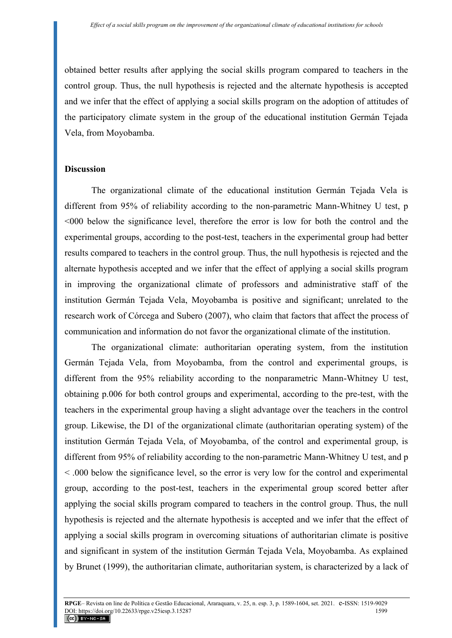obtained better results after applying the social skills program compared to teachers in the control group. Thus, the null hypothesis is rejected and the alternate hypothesis is accepted and we infer that the effect of applying a social skills program on the adoption of attitudes of the participatory climate system in the group of the educational institution Germán Tejada Vela, from Moyobamba.

# **Discussion**

The organizational climate of the educational institution Germán Tejada Vela is different from 95% of reliability according to the non-parametric Mann-Whitney U test, p <000 below the significance level, therefore the error is low for both the control and the experimental groups, according to the post-test, teachers in the experimental group had better results compared to teachers in the control group. Thus, the null hypothesis is rejected and the alternate hypothesis accepted and we infer that the effect of applying a social skills program in improving the organizational climate of professors and administrative staff of the institution Germán Tejada Vela, Moyobamba is positive and significant; unrelated to the research work of Córcega and Subero (2007), who claim that factors that affect the process of communication and information do not favor the organizational climate of the institution.

The organizational climate: authoritarian operating system, from the institution Germán Tejada Vela, from Moyobamba, from the control and experimental groups, is different from the 95% reliability according to the nonparametric Mann-Whitney U test, obtaining p.006 for both control groups and experimental, according to the pre-test, with the teachers in the experimental group having a slight advantage over the teachers in the control group. Likewise, the D1 of the organizational climate (authoritarian operating system) of the institution Germán Tejada Vela, of Moyobamba, of the control and experimental group, is different from 95% of reliability according to the non-parametric Mann-Whitney U test, and p < .000 below the significance level, so the error is very low for the control and experimental group, according to the post-test, teachers in the experimental group scored better after applying the social skills program compared to teachers in the control group. Thus, the null hypothesis is rejected and the alternate hypothesis is accepted and we infer that the effect of applying a social skills program in overcoming situations of authoritarian climate is positive and significant in system of the institution Germán Tejada Vela, Moyobamba. As explained by Brunet (1999), the authoritarian climate, authoritarian system, is characterized by a lack of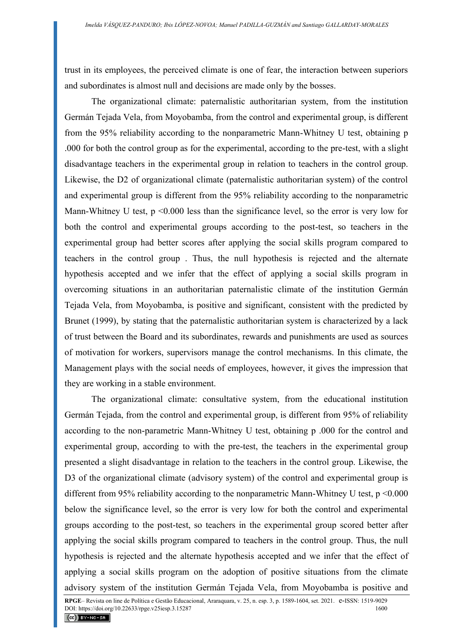trust in its employees, the perceived climate is one of fear, the interaction between superiors and subordinates is almost null and decisions are made only by the bosses.

The organizational climate: paternalistic authoritarian system, from the institution Germán Tejada Vela, from Moyobamba, from the control and experimental group, is different from the 95% reliability according to the nonparametric Mann-Whitney U test, obtaining p .000 for both the control group as for the experimental, according to the pre-test, with a slight disadvantage teachers in the experimental group in relation to teachers in the control group. Likewise, the D2 of organizational climate (paternalistic authoritarian system) of the control and experimental group is different from the 95% reliability according to the nonparametric Mann-Whitney U test,  $p \le 0.000$  less than the significance level, so the error is very low for both the control and experimental groups according to the post-test, so teachers in the experimental group had better scores after applying the social skills program compared to teachers in the control group . Thus, the null hypothesis is rejected and the alternate hypothesis accepted and we infer that the effect of applying a social skills program in overcoming situations in an authoritarian paternalistic climate of the institution Germán Tejada Vela, from Moyobamba, is positive and significant, consistent with the predicted by Brunet (1999), by stating that the paternalistic authoritarian system is characterized by a lack of trust between the Board and its subordinates, rewards and punishments are used as sources of motivation for workers, supervisors manage the control mechanisms. In this climate, the Management plays with the social needs of employees, however, it gives the impression that they are working in a stable environment.

The organizational climate: consultative system, from the educational institution Germán Tejada, from the control and experimental group, is different from 95% of reliability according to the non-parametric Mann-Whitney U test, obtaining p .000 for the control and experimental group, according to with the pre-test, the teachers in the experimental group presented a slight disadvantage in relation to the teachers in the control group. Likewise, the D3 of the organizational climate (advisory system) of the control and experimental group is different from 95% reliability according to the nonparametric Mann-Whitney U test, p <0.000 below the significance level, so the error is very low for both the control and experimental groups according to the post-test, so teachers in the experimental group scored better after applying the social skills program compared to teachers in the control group. Thus, the null hypothesis is rejected and the alternate hypothesis accepted and we infer that the effect of applying a social skills program on the adoption of positive situations from the climate advisory system of the institution Germán Tejada Vela, from Moyobamba is positive and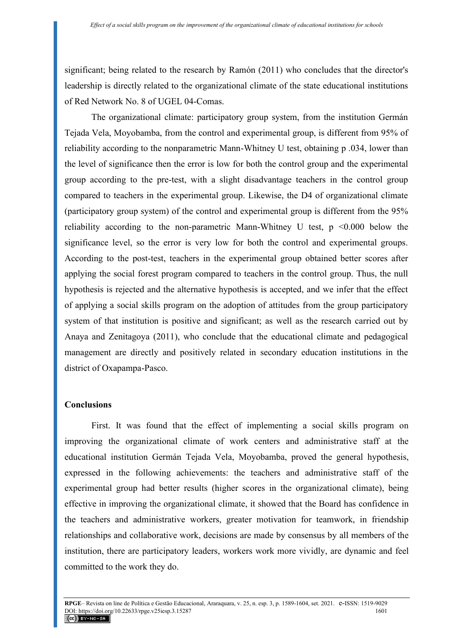significant; being related to the research by Ramón (2011) who concludes that the director's leadership is directly related to the organizational climate of the state educational institutions of Red Network No. 8 of UGEL 04-Comas.

The organizational climate: participatory group system, from the institution Germán Tejada Vela, Moyobamba, from the control and experimental group, is different from 95% of reliability according to the nonparametric Mann-Whitney U test, obtaining p .034, lower than the level of significance then the error is low for both the control group and the experimental group according to the pre-test, with a slight disadvantage teachers in the control group compared to teachers in the experimental group. Likewise, the D4 of organizational climate (participatory group system) of the control and experimental group is different from the 95% reliability according to the non-parametric Mann-Whitney U test,  $p \leq 0.000$  below the significance level, so the error is very low for both the control and experimental groups. According to the post-test, teachers in the experimental group obtained better scores after applying the social forest program compared to teachers in the control group. Thus, the null hypothesis is rejected and the alternative hypothesis is accepted, and we infer that the effect of applying a social skills program on the adoption of attitudes from the group participatory system of that institution is positive and significant; as well as the research carried out by Anaya and Zenitagoya (2011), who conclude that the educational climate and pedagogical management are directly and positively related in secondary education institutions in the district of Oxapampa-Pasco.

# **Conclusions**

First. It was found that the effect of implementing a social skills program on improving the organizational climate of work centers and administrative staff at the educational institution Germán Tejada Vela, Moyobamba, proved the general hypothesis, expressed in the following achievements: the teachers and administrative staff of the experimental group had better results (higher scores in the organizational climate), being effective in improving the organizational climate, it showed that the Board has confidence in the teachers and administrative workers, greater motivation for teamwork, in friendship relationships and collaborative work, decisions are made by consensus by all members of the institution, there are participatory leaders, workers work more vividly, are dynamic and feel committed to the work they do.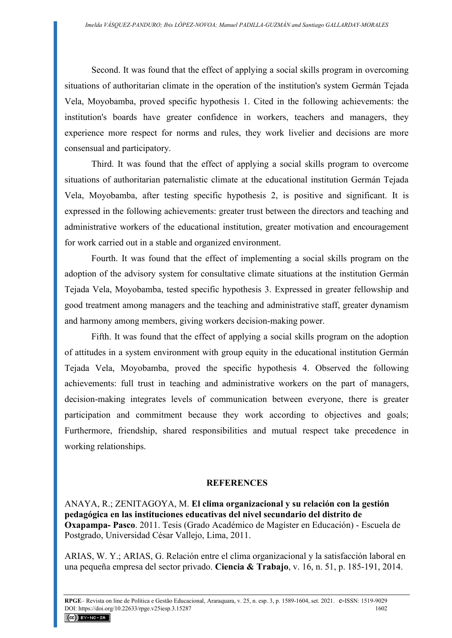Second. It was found that the effect of applying a social skills program in overcoming situations of authoritarian climate in the operation of the institution's system Germán Tejada Vela, Moyobamba, proved specific hypothesis 1. Cited in the following achievements: the institution's boards have greater confidence in workers, teachers and managers, they experience more respect for norms and rules, they work livelier and decisions are more consensual and participatory.

Third. It was found that the effect of applying a social skills program to overcome situations of authoritarian paternalistic climate at the educational institution Germán Tejada Vela, Moyobamba, after testing specific hypothesis 2, is positive and significant. It is expressed in the following achievements: greater trust between the directors and teaching and administrative workers of the educational institution, greater motivation and encouragement for work carried out in a stable and organized environment.

Fourth. It was found that the effect of implementing a social skills program on the adoption of the advisory system for consultative climate situations at the institution Germán Tejada Vela, Moyobamba, tested specific hypothesis 3. Expressed in greater fellowship and good treatment among managers and the teaching and administrative staff, greater dynamism and harmony among members, giving workers decision-making power.

Fifth. It was found that the effect of applying a social skills program on the adoption of attitudes in a system environment with group equity in the educational institution Germán Tejada Vela, Moyobamba, proved the specific hypothesis 4. Observed the following achievements: full trust in teaching and administrative workers on the part of managers, decision-making integrates levels of communication between everyone, there is greater participation and commitment because they work according to objectives and goals; Furthermore, friendship, shared responsibilities and mutual respect take precedence in working relationships.

#### **REFERENCES**

ANAYA, R.; ZENITAGOYA, M. **El clima organizacional y su relación con la gestión pedagógica en las instituciones educativas del nivel secundario del distrito de Oxapampa- Pasco**. 2011. Tesis (Grado Académico de Magíster en Educación) - Escuela de Postgrado, Universidad César Vallejo, Lima, 2011.

ARIAS, W. Y.; ARIAS, G. Relación entre el clima organizacional y la satisfacción laboral en una pequeña empresa del sector privado. **Ciencia & Trabajo**, v. 16, n. 51, p. 185-191, 2014.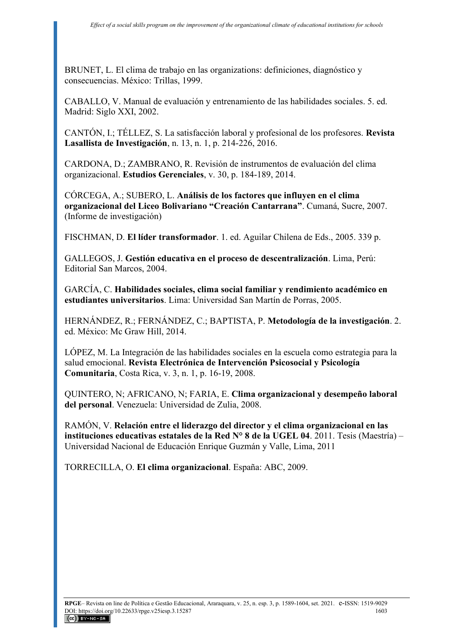BRUNET, L. El clima de trabajo en las organizations: definiciones, diagnóstico y consecuencias. México: Trillas, 1999.

CABALLO, V. Manual de evaluación y entrenamiento de las habilidades sociales. 5. ed. Madrid: Siglo XXI, 2002.

CANTÓN, I.; TÉLLEZ, S. La satisfacción laboral y profesional de los profesores. **Revista Lasallista de Investigación**, n. 13, n. 1, p. 214-226, 2016.

CARDONA, D.; ZAMBRANO, R. Revisión de instrumentos de evaluación del clima organizacional. **Estudios Gerenciales**, v. 30, p. 184-189, 2014.

CÓRCEGA, A.; SUBERO, L. **Análisis de los factores que influyen en el clima organizacional del Liceo Bolivariano "Creación Cantarrana"**. Cumaná, Sucre, 2007. (Informe de investigación)

FISCHMAN, D. **El líder transformador**. 1. ed. Aguilar Chilena de Eds., 2005. 339 p.

GALLEGOS, J. **Gestión educativa en el proceso de descentralización**. Lima, Perú: Editorial San Marcos, 2004.

GARCÍA, C. **Habilidades sociales, clima social familiar y rendimiento académico en estudiantes universitarios**. Lima: Universidad San Martín de Porras, 2005.

HERNÁNDEZ, R.; FERNÁNDEZ, C.; BAPTISTA, P. **Metodología de la investigación**. 2. ed. México: Mc Graw Hill, 2014.

LÓPEZ, M. La Integración de las habilidades sociales en la escuela como estrategia para la salud emocional. **Revista Electrónica de Intervención Psicosocial y Psicología Comunitaria**, Costa Rica, v. 3, n. 1, p. 16-19, 2008.

QUINTERO, N; AFRICANO, N; FARIA, E. **Clima organizacional y desempeño laboral del personal**. Venezuela: Universidad de Zulia, 2008.

RAMÓN, V. **Relación entre el liderazgo del director y el clima organizacional en las instituciones educativas estatales de la Red N° 8 de la UGEL 04**. 2011. Tesis (Maestría) – Universidad Nacional de Educación Enrique Guzmán y Valle, Lima, 2011

TORRECILLA, O. **El clima organizacional**. España: ABC, 2009.